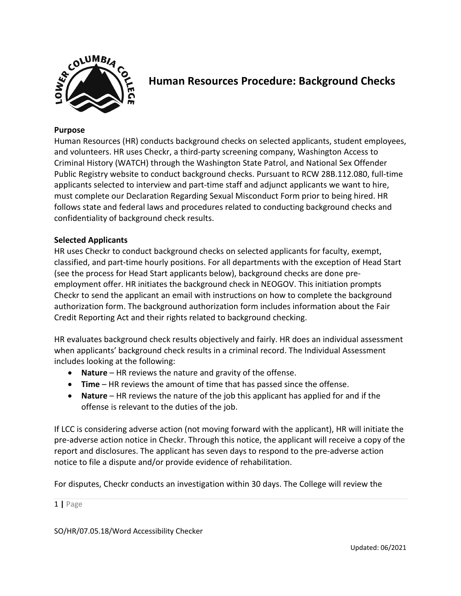

# **Human Resources Procedure: Background Checks**

#### **Purpose**

Human Resources (HR) conducts background checks on selected applicants, student employees, and volunteers. HR uses Checkr, a third-party screening company, Washington Access to Criminal History (WATCH) through the Washington State Patrol, and National Sex Offender Public Registry website to conduct background checks. Pursuant to RCW 28B.112.080, full-time applicants selected to interview and part-time staff and adjunct applicants we want to hire, must complete our Declaration Regarding Sexual Misconduct Form prior to being hired. HR follows state and federal laws and procedures related to conducting background checks and confidentiality of background check results.

#### **Selected Applicants**

HR uses Checkr to conduct background checks on selected applicants for faculty, exempt, classified, and part-time hourly positions. For all departments with the exception of Head Start (see the process for Head Start applicants below), background checks are done preemployment offer. HR initiates the background check in NEOGOV. This initiation prompts Checkr to send the applicant an email with instructions on how to complete the background authorization form. The background authorization form includes information about the Fair Credit Reporting Act and their rights related to background checking.

HR evaluates background check results objectively and fairly. HR does an individual assessment when applicants' background check results in a criminal record. The Individual Assessment includes looking at the following:

- **Nature** HR reviews the nature and gravity of the offense.
- **Time** HR reviews the amount of time that has passed since the offense.
- **Nature** HR reviews the nature of the job this applicant has applied for and if the offense is relevant to the duties of the job.

If LCC is considering adverse action (not moving forward with the applicant), HR will initiate the pre-adverse action notice in Checkr. Through this notice, the applicant will receive a copy of the report and disclosures. The applicant has seven days to respond to the pre-adverse action notice to file a dispute and/or provide evidence of rehabilitation.

For disputes, Checkr conducts an investigation within 30 days. The College will review the

#### 1 **|** Page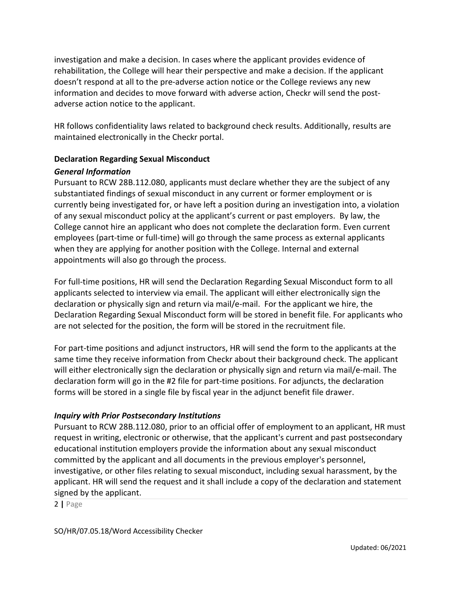investigation and make a decision. In cases where the applicant provides evidence of rehabilitation, the College will hear their perspective and make a decision. If the applicant doesn't respond at all to the pre-adverse action notice or the College reviews any new information and decides to move forward with adverse action, Checkr will send the postadverse action notice to the applicant.

HR follows confidentiality laws related to background check results. Additionally, results are maintained electronically in the Checkr portal.

# **Declaration Regarding Sexual Misconduct**

# *General Information*

Pursuant to RCW 28B.112.080, applicants must declare whether they are the subject of any substantiated findings of sexual misconduct in any current or former employment or is currently being investigated for, or have left a position during an investigation into, a violation of any sexual misconduct policy at the applicant's current or past employers. By law, the College cannot hire an applicant who does not complete the declaration form. Even current employees (part-time or full-time) will go through the same process as external applicants when they are applying for another position with the College. Internal and external appointments will also go through the process.

For full-time positions, HR will send the Declaration Regarding Sexual Misconduct form to all applicants selected to interview via email. The applicant will either electronically sign the declaration or physically sign and return via mail/e-mail. For the applicant we hire, the Declaration Regarding Sexual Misconduct form will be stored in benefit file. For applicants who are not selected for the position, the form will be stored in the recruitment file.

For part-time positions and adjunct instructors, HR will send the form to the applicants at the same time they receive information from Checkr about their background check. The applicant will either electronically sign the declaration or physically sign and return via mail/e-mail. The declaration form will go in the #2 file for part-time positions. For adjuncts, the declaration forms will be stored in a single file by fiscal year in the adjunct benefit file drawer.

# *Inquiry with Prior Postsecondary Institutions*

Pursuant to RCW 28B.112.080, prior to an official offer of employment to an applicant, HR must request in writing, electronic or otherwise, that the applicant's current and past postsecondary educational institution employers provide the information about any sexual misconduct committed by the applicant and all documents in the previous employer's personnel, investigative, or other files relating to sexual misconduct, including sexual harassment, by the applicant. HR will send the request and it shall include a copy of the declaration and statement signed by the applicant.

2 **|** Page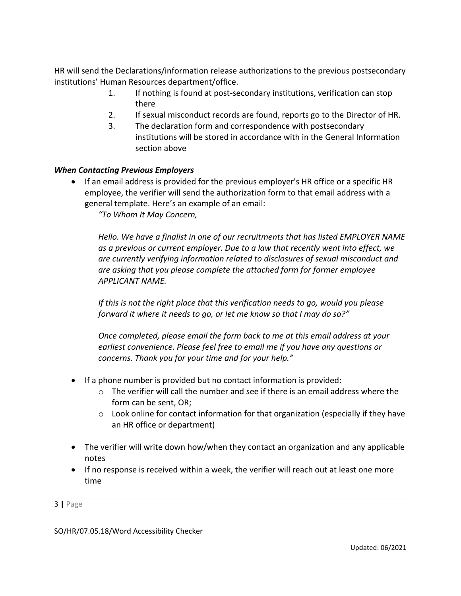HR will send the Declarations/information release authorizations to the previous postsecondary institutions' Human Resources department/office.

- 1. If nothing is found at post-secondary institutions, verification can stop there
- 2. If sexual misconduct records are found, reports go to the Director of HR.
- 3. The declaration form and correspondence with postsecondary institutions will be stored in accordance with in the General Information section above

# *When Contacting Previous Employers*

• If an email address is provided for the previous employer's HR office or a specific HR employee, the verifier will send the authorization form to that email address with a general template. Here's an example of an email:

*"To Whom It May Concern,*

*Hello. We have a finalist in one of our recruitments that has listed EMPLOYER NAME as a previous or current employer. Due to a law that recently went into effect, we are currently verifying information related to disclosures of sexual misconduct and are asking that you please complete the attached form for former employee APPLICANT NAME.* 

*If this is not the right place that this verification needs to go, would you please forward it where it needs to go, or let me know so that I may do so?"*

*Once completed, please email the form back to me at this email address at your earliest convenience. Please feel free to email me if you have any questions or concerns. Thank you for your time and for your help."*

- If a phone number is provided but no contact information is provided:
	- $\circ$  The verifier will call the number and see if there is an email address where the form can be sent, OR;
	- o Look online for contact information for that organization (especially if they have an HR office or department)
- The verifier will write down how/when they contact an organization and any applicable notes
- If no response is received within a week, the verifier will reach out at least one more time

3 **|** Page

SO/HR/07.05.18/Word Accessibility Checker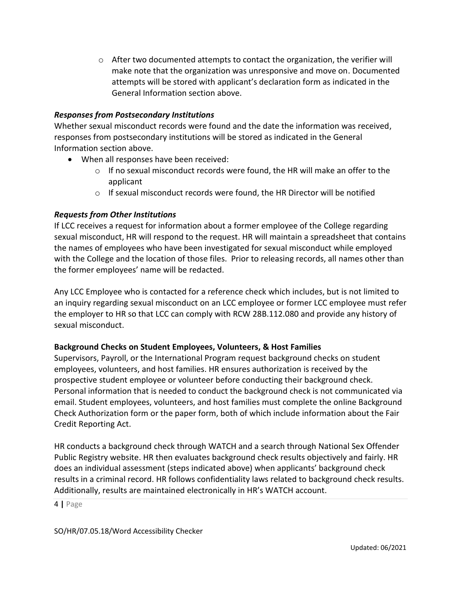$\circ$  After two documented attempts to contact the organization, the verifier will make note that the organization was unresponsive and move on. Documented attempts will be stored with applicant's declaration form as indicated in the General Information section above.

## *Responses from Postsecondary Institutions*

Whether sexual misconduct records were found and the date the information was received, responses from postsecondary institutions will be stored as indicated in the General Information section above.

- When all responses have been received:
	- $\circ$  If no sexual misconduct records were found, the HR will make an offer to the applicant
	- $\circ$  If sexual misconduct records were found, the HR Director will be notified

## *Requests from Other Institutions*

If LCC receives a request for information about a former employee of the College regarding sexual misconduct, HR will respond to the request. HR will maintain a spreadsheet that contains the names of employees who have been investigated for sexual misconduct while employed with the College and the location of those files. Prior to releasing records, all names other than the former employees' name will be redacted.

Any LCC Employee who is contacted for a reference check which includes, but is not limited to an inquiry regarding sexual misconduct on an LCC employee or former LCC employee must refer the employer to HR so that LCC can comply with RCW 28B.112.080 and provide any history of sexual misconduct.

#### **Background Checks on Student Employees, Volunteers, & Host Families**

Supervisors, Payroll, or the International Program request background checks on student employees, volunteers, and host families. HR ensures authorization is received by the prospective student employee or volunteer before conducting their background check. Personal information that is needed to conduct the background check is not communicated via email. Student employees, volunteers, and host families must complete the online Background Check Authorization form or the paper form, both of which include information about the Fair Credit Reporting Act.

HR conducts a background check through WATCH and a search through National Sex Offender Public Registry website. HR then evaluates background check results objectively and fairly. HR does an individual assessment (steps indicated above) when applicants' background check results in a criminal record. HR follows confidentiality laws related to background check results. Additionally, results are maintained electronically in HR's WATCH account.

4 **|** Page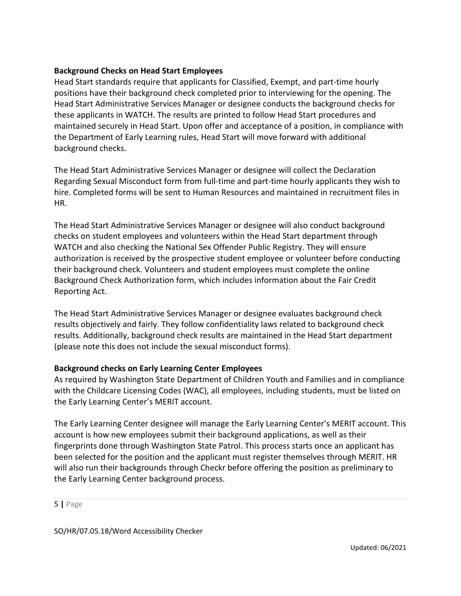## **Background Checks on Head Start Employees**

Head Start standards require that applicants for Classified, Exempt, and part-time hourly positions have their background check completed prior to interviewing for the opening. The Head Start Administrative Services Manager or designee conducts the background checks for these applicants in WATCH. The results are printed to follow Head Start procedures and maintained securely in Head Start. Upon offer and acceptance of a position, in compliance with the Department of Early Learning rules, Head Start will move forward with additional background checks.

The Head Start Administrative Services Manager or designee will collect the Declaration Regarding Sexual Misconduct form from full-time and part-time hourly applicants they wish to hire. Completed forms will be sent to Human Resources and maintained in recruitment files in HR.

The Head Start Administrative Services Manager or designee will also conduct background checks on student employees and volunteers within the Head Start department through WATCH and also checking the National Sex Offender Public Registry. They will ensure authorization is received by the prospective student employee or volunteer before conducting their background check. Volunteers and student employees must complete the online Background Check Authorization form, which includes information about the Fair Credit Reporting Act.

The Head Start Administrative Services Manager or designee evaluates background check results objectively and fairly. They follow confidentiality laws related to background check results. Additionally, background check results are maintained in the Head Start department (please note this does not include the sexual misconduct forms).

# **Background checks on Early Learning Center Employees**

As required by Washington State Department of Children Youth and Families and in compliance with the Childcare Licensing Codes (WAC), all employees, including students, must be listed on the Early Learning Center's MERIT account.

The Early Learning Center designee will manage the Early Learning Center's MERIT account. This account is how new employees submit their background applications, as well as their fingerprints done through Washington State Patrol. This process starts once an applicant has been selected for the position and the applicant must register themselves through MERIT. HR will also run their backgrounds through Checkr before offering the position as preliminary to the Early Learning Center background process.